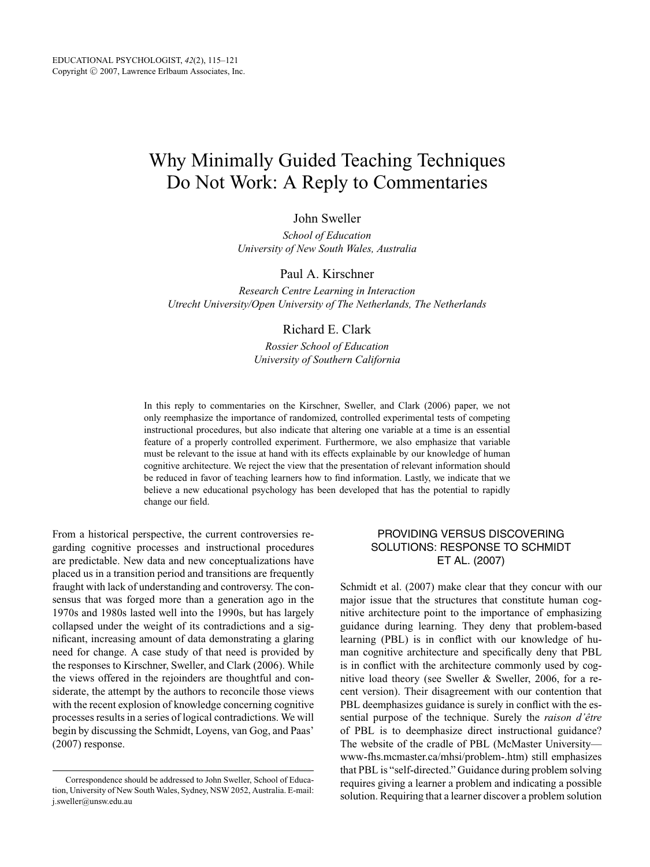# Why Minimally Guided Teaching Techniques Do Not Work: A Reply to Commentaries

# John Sweller

*School of Education University of New South Wales, Australia*

#### Paul A. Kirschner

*Research Centre Learning in Interaction Utrecht University/Open University of The Netherlands, The Netherlands*

### Richard E. Clark

*Rossier School of Education University of Southern California*

In this reply to commentaries on the Kirschner, Sweller, and Clark (2006) paper, we not only reemphasize the importance of randomized, controlled experimental tests of competing instructional procedures, but also indicate that altering one variable at a time is an essential feature of a properly controlled experiment. Furthermore, we also emphasize that variable must be relevant to the issue at hand with its effects explainable by our knowledge of human cognitive architecture. We reject the view that the presentation of relevant information should be reduced in favor of teaching learners how to find information. Lastly, we indicate that we believe a new educational psychology has been developed that has the potential to rapidly change our field.

From a historical perspective, the current controversies regarding cognitive processes and instructional procedures are predictable. New data and new conceptualizations have placed us in a transition period and transitions are frequently fraught with lack of understanding and controversy. The consensus that was forged more than a generation ago in the 1970s and 1980s lasted well into the 1990s, but has largely collapsed under the weight of its contradictions and a significant, increasing amount of data demonstrating a glaring need for change. A case study of that need is provided by the responses to Kirschner, Sweller, and Clark (2006). While the views offered in the rejoinders are thoughtful and considerate, the attempt by the authors to reconcile those views with the recent explosion of knowledge concerning cognitive processes results in a series of logical contradictions. We will begin by discussing the Schmidt, Loyens, van Gog, and Paas' (2007) response.

# PROVIDING VERSUS DISCOVERING SOLUTIONS: RESPONSE TO SCHMIDT ET AL. (2007)

Schmidt et al. (2007) make clear that they concur with our major issue that the structures that constitute human cognitive architecture point to the importance of emphasizing guidance during learning. They deny that problem-based learning (PBL) is in conflict with our knowledge of human cognitive architecture and specifically deny that PBL is in conflict with the architecture commonly used by cognitive load theory (see Sweller & Sweller, 2006, for a recent version). Their disagreement with our contention that PBL deemphasizes guidance is surely in conflict with the essential purpose of the technique. Surely the *raison d'être* of PBL is to deemphasize direct instructional guidance? The website of the cradle of PBL (McMaster University www-fhs.mcmaster.ca/mhsi/problem-.htm) still emphasizes that PBL is "self-directed." Guidance during problem solving requires giving a learner a problem and indicating a possible solution. Requiring that a learner discover a problem solution

Correspondence should be addressed to John Sweller, School of Education, University of New South Wales, Sydney, NSW 2052, Australia. E-mail: j.sweller@unsw.edu.au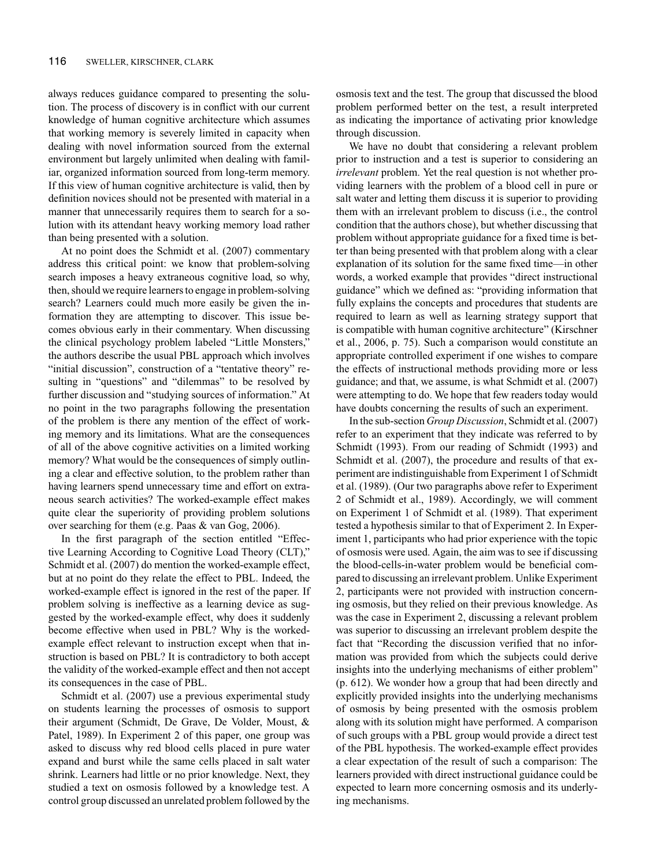always reduces guidance compared to presenting the solution. The process of discovery is in conflict with our current knowledge of human cognitive architecture which assumes that working memory is severely limited in capacity when dealing with novel information sourced from the external environment but largely unlimited when dealing with familiar, organized information sourced from long-term memory. If this view of human cognitive architecture is valid, then by definition novices should not be presented with material in a manner that unnecessarily requires them to search for a solution with its attendant heavy working memory load rather than being presented with a solution.

At no point does the Schmidt et al. (2007) commentary address this critical point: we know that problem-solving search imposes a heavy extraneous cognitive load, so why, then, should we require learners to engage in problem-solving search? Learners could much more easily be given the information they are attempting to discover. This issue becomes obvious early in their commentary. When discussing the clinical psychology problem labeled "Little Monsters," the authors describe the usual PBL approach which involves "initial discussion", construction of a "tentative theory" resulting in "questions" and "dilemmas" to be resolved by further discussion and "studying sources of information." At no point in the two paragraphs following the presentation of the problem is there any mention of the effect of working memory and its limitations. What are the consequences of all of the above cognitive activities on a limited working memory? What would be the consequences of simply outlining a clear and effective solution, to the problem rather than having learners spend unnecessary time and effort on extraneous search activities? The worked-example effect makes quite clear the superiority of providing problem solutions over searching for them (e.g. Paas & van Gog, 2006).

In the first paragraph of the section entitled "Effective Learning According to Cognitive Load Theory (CLT)," Schmidt et al. (2007) do mention the worked-example effect, but at no point do they relate the effect to PBL. Indeed, the worked-example effect is ignored in the rest of the paper. If problem solving is ineffective as a learning device as suggested by the worked-example effect, why does it suddenly become effective when used in PBL? Why is the workedexample effect relevant to instruction except when that instruction is based on PBL? It is contradictory to both accept the validity of the worked-example effect and then not accept its consequences in the case of PBL.

Schmidt et al. (2007) use a previous experimental study on students learning the processes of osmosis to support their argument (Schmidt, De Grave, De Volder, Moust, & Patel, 1989). In Experiment 2 of this paper, one group was asked to discuss why red blood cells placed in pure water expand and burst while the same cells placed in salt water shrink. Learners had little or no prior knowledge. Next, they studied a text on osmosis followed by a knowledge test. A control group discussed an unrelated problem followed by the

osmosis text and the test. The group that discussed the blood problem performed better on the test, a result interpreted as indicating the importance of activating prior knowledge through discussion.

We have no doubt that considering a relevant problem prior to instruction and a test is superior to considering an *irrelevant* problem. Yet the real question is not whether providing learners with the problem of a blood cell in pure or salt water and letting them discuss it is superior to providing them with an irrelevant problem to discuss (i.e., the control condition that the authors chose), but whether discussing that problem without appropriate guidance for a fixed time is better than being presented with that problem along with a clear explanation of its solution for the same fixed time—in other words, a worked example that provides "direct instructional guidance" which we defined as: "providing information that fully explains the concepts and procedures that students are required to learn as well as learning strategy support that is compatible with human cognitive architecture" (Kirschner et al., 2006, p. 75). Such a comparison would constitute an appropriate controlled experiment if one wishes to compare the effects of instructional methods providing more or less guidance; and that, we assume, is what Schmidt et al. (2007) were attempting to do. We hope that few readers today would have doubts concerning the results of such an experiment.

In the sub-section *Group Discussion*, Schmidt et al. (2007) refer to an experiment that they indicate was referred to by Schmidt (1993). From our reading of Schmidt (1993) and Schmidt et al. (2007), the procedure and results of that experiment are indistinguishable from Experiment 1 of Schmidt et al. (1989). (Our two paragraphs above refer to Experiment 2 of Schmidt et al., 1989). Accordingly, we will comment on Experiment 1 of Schmidt et al. (1989). That experiment tested a hypothesis similar to that of Experiment 2. In Experiment 1, participants who had prior experience with the topic of osmosis were used. Again, the aim was to see if discussing the blood-cells-in-water problem would be beneficial compared to discussing an irrelevant problem. Unlike Experiment 2, participants were not provided with instruction concerning osmosis, but they relied on their previous knowledge. As was the case in Experiment 2, discussing a relevant problem was superior to discussing an irrelevant problem despite the fact that "Recording the discussion verified that no information was provided from which the subjects could derive insights into the underlying mechanisms of either problem" (p. 612). We wonder how a group that had been directly and explicitly provided insights into the underlying mechanisms of osmosis by being presented with the osmosis problem along with its solution might have performed. A comparison of such groups with a PBL group would provide a direct test of the PBL hypothesis. The worked-example effect provides a clear expectation of the result of such a comparison: The learners provided with direct instructional guidance could be expected to learn more concerning osmosis and its underlying mechanisms.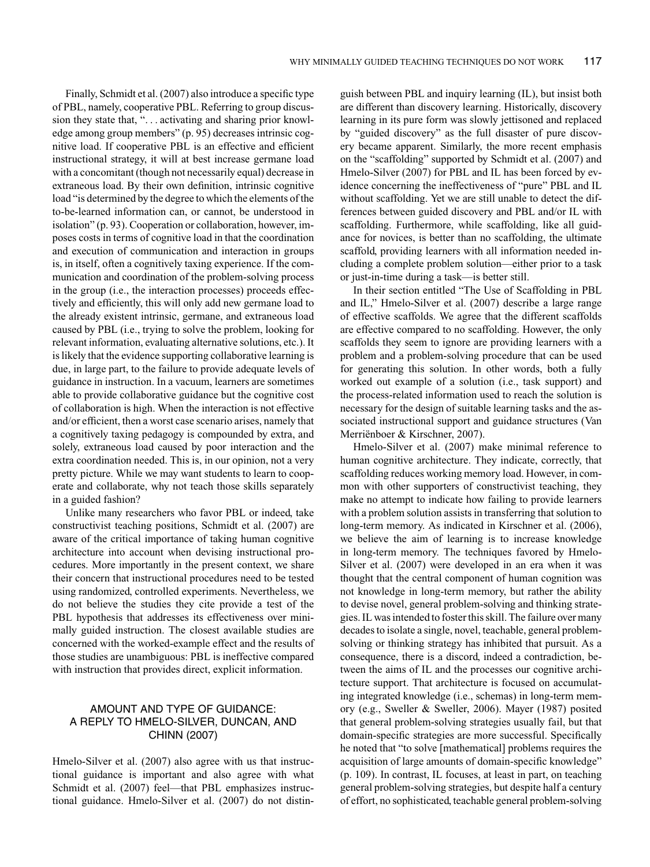Finally, Schmidt et al. (2007) also introduce a specific type of PBL, namely, cooperative PBL. Referring to group discussion they state that, "... activating and sharing prior knowledge among group members" (p. 95) decreases intrinsic cognitive load. If cooperative PBL is an effective and efficient instructional strategy, it will at best increase germane load with a concomitant (though not necessarily equal) decrease in extraneous load. By their own definition, intrinsic cognitive load "is determined by the degree to which the elements of the to-be-learned information can, or cannot, be understood in isolation" (p. 93). Cooperation or collaboration, however, imposes costs in terms of cognitive load in that the coordination and execution of communication and interaction in groups is, in itself, often a cognitively taxing experience. If the communication and coordination of the problem-solving process in the group (i.e., the interaction processes) proceeds effectively and efficiently, this will only add new germane load to the already existent intrinsic, germane, and extraneous load caused by PBL (i.e., trying to solve the problem, looking for relevant information, evaluating alternative solutions, etc.). It is likely that the evidence supporting collaborative learning is due, in large part, to the failure to provide adequate levels of guidance in instruction. In a vacuum, learners are sometimes able to provide collaborative guidance but the cognitive cost of collaboration is high. When the interaction is not effective and/or efficient, then a worst case scenario arises, namely that a cognitively taxing pedagogy is compounded by extra, and solely, extraneous load caused by poor interaction and the extra coordination needed. This is, in our opinion, not a very pretty picture. While we may want students to learn to cooperate and collaborate, why not teach those skills separately in a guided fashion?

Unlike many researchers who favor PBL or indeed, take constructivist teaching positions, Schmidt et al. (2007) are aware of the critical importance of taking human cognitive architecture into account when devising instructional procedures. More importantly in the present context, we share their concern that instructional procedures need to be tested using randomized, controlled experiments. Nevertheless, we do not believe the studies they cite provide a test of the PBL hypothesis that addresses its effectiveness over minimally guided instruction. The closest available studies are concerned with the worked-example effect and the results of those studies are unambiguous: PBL is ineffective compared with instruction that provides direct, explicit information.

#### AMOUNT AND TYPE OF GUIDANCE: A REPLY TO HMELO-SILVER, DUNCAN, AND CHINN (2007)

Hmelo-Silver et al. (2007) also agree with us that instructional guidance is important and also agree with what Schmidt et al. (2007) feel—that PBL emphasizes instructional guidance. Hmelo-Silver et al. (2007) do not distinguish between PBL and inquiry learning (IL), but insist both are different than discovery learning. Historically, discovery learning in its pure form was slowly jettisoned and replaced by "guided discovery" as the full disaster of pure discovery became apparent. Similarly, the more recent emphasis on the "scaffolding" supported by Schmidt et al. (2007) and Hmelo-Silver (2007) for PBL and IL has been forced by evidence concerning the ineffectiveness of "pure" PBL and IL without scaffolding. Yet we are still unable to detect the differences between guided discovery and PBL and/or IL with scaffolding. Furthermore, while scaffolding, like all guidance for novices, is better than no scaffolding, the ultimate scaffold, providing learners with all information needed including a complete problem solution—either prior to a task or just-in-time during a task—is better still.

In their section entitled "The Use of Scaffolding in PBL and IL," Hmelo-Silver et al. (2007) describe a large range of effective scaffolds. We agree that the different scaffolds are effective compared to no scaffolding. However, the only scaffolds they seem to ignore are providing learners with a problem and a problem-solving procedure that can be used for generating this solution. In other words, both a fully worked out example of a solution (i.e., task support) and the process-related information used to reach the solution is necessary for the design of suitable learning tasks and the associated instructional support and guidance structures (Van Merriënboer & Kirschner, 2007).

Hmelo-Silver et al. (2007) make minimal reference to human cognitive architecture. They indicate, correctly, that scaffolding reduces working memory load. However, in common with other supporters of constructivist teaching, they make no attempt to indicate how failing to provide learners with a problem solution assists in transferring that solution to long-term memory. As indicated in Kirschner et al. (2006), we believe the aim of learning is to increase knowledge in long-term memory. The techniques favored by Hmelo-Silver et al. (2007) were developed in an era when it was thought that the central component of human cognition was not knowledge in long-term memory, but rather the ability to devise novel, general problem-solving and thinking strategies. IL was intended to foster this skill. The failure over many decades to isolate a single, novel, teachable, general problemsolving or thinking strategy has inhibited that pursuit. As a consequence, there is a discord, indeed a contradiction, between the aims of IL and the processes our cognitive architecture support. That architecture is focused on accumulating integrated knowledge (i.e., schemas) in long-term memory (e.g., Sweller & Sweller, 2006). Mayer (1987) posited that general problem-solving strategies usually fail, but that domain-specific strategies are more successful. Specifically he noted that "to solve [mathematical] problems requires the acquisition of large amounts of domain-specific knowledge" (p. 109). In contrast, IL focuses, at least in part, on teaching general problem-solving strategies, but despite half a century of effort, no sophisticated, teachable general problem-solving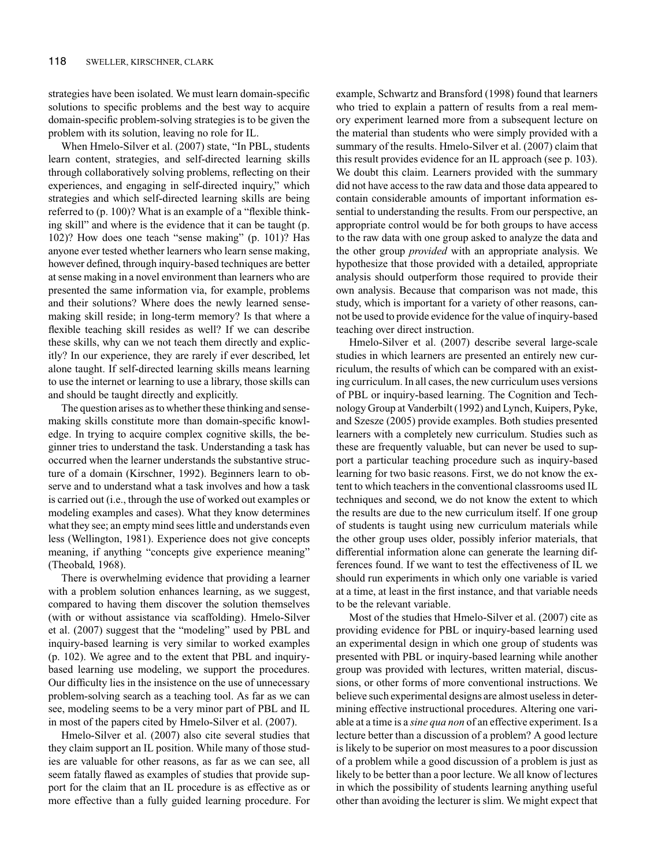strategies have been isolated. We must learn domain-specific solutions to specific problems and the best way to acquire domain-specific problem-solving strategies is to be given the problem with its solution, leaving no role for IL.

When Hmelo-Silver et al. (2007) state, "In PBL, students learn content, strategies, and self-directed learning skills through collaboratively solving problems, reflecting on their experiences, and engaging in self-directed inquiry," which strategies and which self-directed learning skills are being referred to (p. 100)? What is an example of a "flexible thinking skill" and where is the evidence that it can be taught (p. 102)? How does one teach "sense making" (p. 101)? Has anyone ever tested whether learners who learn sense making, however defined, through inquiry-based techniques are better at sense making in a novel environment than learners who are presented the same information via, for example, problems and their solutions? Where does the newly learned sensemaking skill reside; in long-term memory? Is that where a flexible teaching skill resides as well? If we can describe these skills, why can we not teach them directly and explicitly? In our experience, they are rarely if ever described, let alone taught. If self-directed learning skills means learning to use the internet or learning to use a library, those skills can and should be taught directly and explicitly.

The question arises as to whether these thinking and sensemaking skills constitute more than domain-specific knowledge. In trying to acquire complex cognitive skills, the beginner tries to understand the task. Understanding a task has occurred when the learner understands the substantive structure of a domain (Kirschner, 1992). Beginners learn to observe and to understand what a task involves and how a task is carried out (i.e., through the use of worked out examples or modeling examples and cases). What they know determines what they see; an empty mind sees little and understands even less (Wellington, 1981). Experience does not give concepts meaning, if anything "concepts give experience meaning" (Theobald, 1968).

There is overwhelming evidence that providing a learner with a problem solution enhances learning, as we suggest, compared to having them discover the solution themselves (with or without assistance via scaffolding). Hmelo-Silver et al. (2007) suggest that the "modeling" used by PBL and inquiry-based learning is very similar to worked examples (p. 102). We agree and to the extent that PBL and inquirybased learning use modeling, we support the procedures. Our difficulty lies in the insistence on the use of unnecessary problem-solving search as a teaching tool. As far as we can see, modeling seems to be a very minor part of PBL and IL in most of the papers cited by Hmelo-Silver et al. (2007).

Hmelo-Silver et al. (2007) also cite several studies that they claim support an IL position. While many of those studies are valuable for other reasons, as far as we can see, all seem fatally flawed as examples of studies that provide support for the claim that an IL procedure is as effective as or more effective than a fully guided learning procedure. For example, Schwartz and Bransford (1998) found that learners who tried to explain a pattern of results from a real memory experiment learned more from a subsequent lecture on the material than students who were simply provided with a summary of the results. Hmelo-Silver et al. (2007) claim that this result provides evidence for an IL approach (see p. 103). We doubt this claim. Learners provided with the summary did not have access to the raw data and those data appeared to contain considerable amounts of important information essential to understanding the results. From our perspective, an appropriate control would be for both groups to have access to the raw data with one group asked to analyze the data and the other group *provided* with an appropriate analysis. We hypothesize that those provided with a detailed, appropriate analysis should outperform those required to provide their own analysis. Because that comparison was not made, this study, which is important for a variety of other reasons, cannot be used to provide evidence for the value of inquiry-based teaching over direct instruction.

Hmelo-Silver et al. (2007) describe several large-scale studies in which learners are presented an entirely new curriculum, the results of which can be compared with an existing curriculum. In all cases, the new curriculum uses versions of PBL or inquiry-based learning. The Cognition and Technology Group at Vanderbilt (1992) and Lynch, Kuipers, Pyke, and Szesze (2005) provide examples. Both studies presented learners with a completely new curriculum. Studies such as these are frequently valuable, but can never be used to support a particular teaching procedure such as inquiry-based learning for two basic reasons. First, we do not know the extent to which teachers in the conventional classrooms used IL techniques and second, we do not know the extent to which the results are due to the new curriculum itself. If one group of students is taught using new curriculum materials while the other group uses older, possibly inferior materials, that differential information alone can generate the learning differences found. If we want to test the effectiveness of IL we should run experiments in which only one variable is varied at a time, at least in the first instance, and that variable needs to be the relevant variable.

Most of the studies that Hmelo-Silver et al. (2007) cite as providing evidence for PBL or inquiry-based learning used an experimental design in which one group of students was presented with PBL or inquiry-based learning while another group was provided with lectures, written material, discussions, or other forms of more conventional instructions. We believe such experimental designs are almost useless in determining effective instructional procedures. Altering one variable at a time is a *sine qua non* of an effective experiment. Is a lecture better than a discussion of a problem? A good lecture is likely to be superior on most measures to a poor discussion of a problem while a good discussion of a problem is just as likely to be better than a poor lecture. We all know of lectures in which the possibility of students learning anything useful other than avoiding the lecturer is slim. We might expect that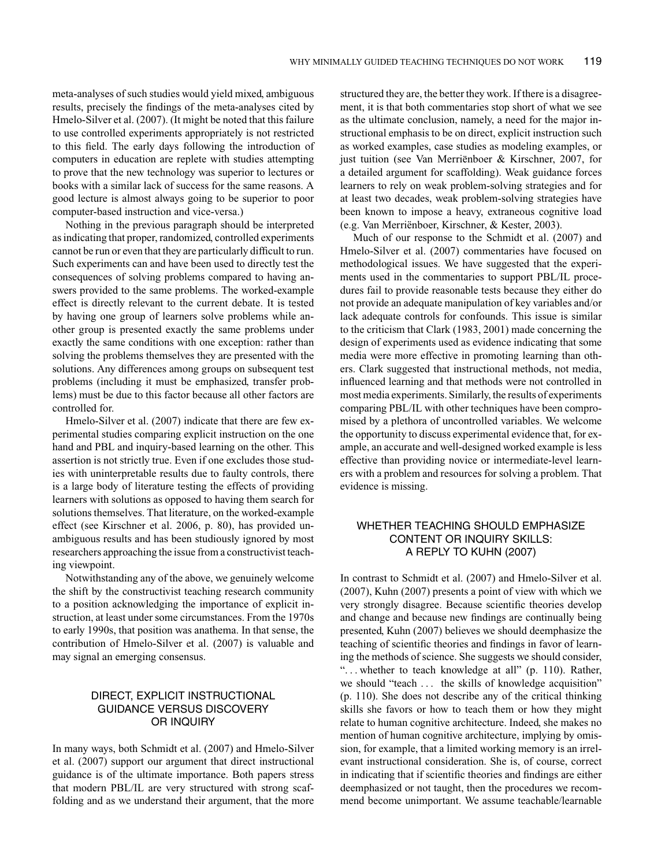meta-analyses of such studies would yield mixed, ambiguous results, precisely the findings of the meta-analyses cited by Hmelo-Silver et al. (2007). (It might be noted that this failure to use controlled experiments appropriately is not restricted to this field. The early days following the introduction of computers in education are replete with studies attempting to prove that the new technology was superior to lectures or books with a similar lack of success for the same reasons. A good lecture is almost always going to be superior to poor computer-based instruction and vice-versa.)

Nothing in the previous paragraph should be interpreted as indicating that proper, randomized, controlled experiments cannot be run or even that they are particularly difficult to run. Such experiments can and have been used to directly test the consequences of solving problems compared to having answers provided to the same problems. The worked-example effect is directly relevant to the current debate. It is tested by having one group of learners solve problems while another group is presented exactly the same problems under exactly the same conditions with one exception: rather than solving the problems themselves they are presented with the solutions. Any differences among groups on subsequent test problems (including it must be emphasized, transfer problems) must be due to this factor because all other factors are controlled for.

Hmelo-Silver et al. (2007) indicate that there are few experimental studies comparing explicit instruction on the one hand and PBL and inquiry-based learning on the other. This assertion is not strictly true. Even if one excludes those studies with uninterpretable results due to faulty controls, there is a large body of literature testing the effects of providing learners with solutions as opposed to having them search for solutions themselves. That literature, on the worked-example effect (see Kirschner et al. 2006, p. 80), has provided unambiguous results and has been studiously ignored by most researchers approaching the issue from a constructivist teaching viewpoint.

Notwithstanding any of the above, we genuinely welcome the shift by the constructivist teaching research community to a position acknowledging the importance of explicit instruction, at least under some circumstances. From the 1970s to early 1990s, that position was anathema. In that sense, the contribution of Hmelo-Silver et al. (2007) is valuable and may signal an emerging consensus.

### DIRECT, EXPLICIT INSTRUCTIONAL GUIDANCE VERSUS DISCOVERY OR INQUIRY

In many ways, both Schmidt et al. (2007) and Hmelo-Silver et al. (2007) support our argument that direct instructional guidance is of the ultimate importance. Both papers stress that modern PBL/IL are very structured with strong scaffolding and as we understand their argument, that the more

structured they are, the better they work. If there is a disagreement, it is that both commentaries stop short of what we see as the ultimate conclusion, namely, a need for the major instructional emphasis to be on direct, explicit instruction such as worked examples, case studies as modeling examples, or just tuition (see Van Merriënboer & Kirschner, 2007, for a detailed argument for scaffolding). Weak guidance forces learners to rely on weak problem-solving strategies and for at least two decades, weak problem-solving strategies have been known to impose a heavy, extraneous cognitive load (e.g. Van Merrienboer, Kirschner, & Kester, 2003). ¨

Much of our response to the Schmidt et al. (2007) and Hmelo-Silver et al. (2007) commentaries have focused on methodological issues. We have suggested that the experiments used in the commentaries to support PBL/IL procedures fail to provide reasonable tests because they either do not provide an adequate manipulation of key variables and/or lack adequate controls for confounds. This issue is similar to the criticism that Clark (1983, 2001) made concerning the design of experiments used as evidence indicating that some media were more effective in promoting learning than others. Clark suggested that instructional methods, not media, influenced learning and that methods were not controlled in most media experiments. Similarly, the results of experiments comparing PBL/IL with other techniques have been compromised by a plethora of uncontrolled variables. We welcome the opportunity to discuss experimental evidence that, for example, an accurate and well-designed worked example is less effective than providing novice or intermediate-level learners with a problem and resources for solving a problem. That evidence is missing.

# WHETHER TEACHING SHOULD EMPHASIZE CONTENT OR INQUIRY SKILLS: A REPLY TO KUHN (2007)

In contrast to Schmidt et al. (2007) and Hmelo-Silver et al. (2007), Kuhn (2007) presents a point of view with which we very strongly disagree. Because scientific theories develop and change and because new findings are continually being presented, Kuhn (2007) believes we should deemphasize the teaching of scientific theories and findings in favor of learning the methods of science. She suggests we should consider, ". . . whether to teach knowledge at all" (p. 110). Rather, we should "teach ... the skills of knowledge acquisition" (p. 110). She does not describe any of the critical thinking skills she favors or how to teach them or how they might relate to human cognitive architecture. Indeed, she makes no mention of human cognitive architecture, implying by omission, for example, that a limited working memory is an irrelevant instructional consideration. She is, of course, correct in indicating that if scientific theories and findings are either deemphasized or not taught, then the procedures we recommend become unimportant. We assume teachable/learnable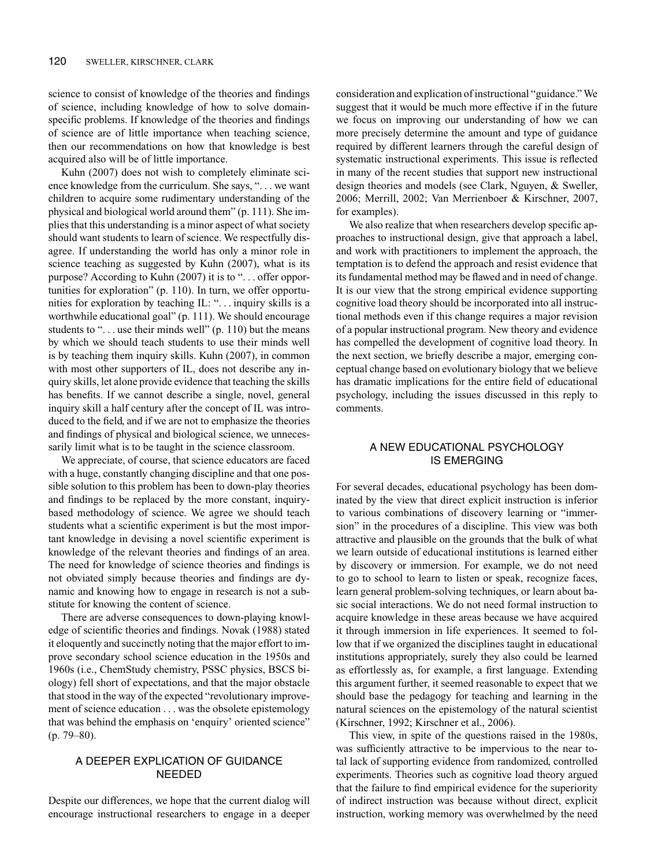science to consist of knowledge of the theories and findings of science, including knowledge of how to solve domainspecific problems. If knowledge of the theories and findings of science are of little importance when teaching science, then our recommendations on how that knowledge is best acquired also will be of little importance.

Kuhn (2007) does not wish to completely eliminate science knowledge from the curriculum. She says, ". . . we want children to acquire some rudimentary understanding of the physical and biological world around them" (p. 111). She implies that this understanding is a minor aspect of what society should want students to learn of science. We respectfully disagree. If understanding the world has only a minor role in science teaching as suggested by Kuhn (2007), what is its purpose? According to Kuhn (2007) it is to "... offer opportunities for exploration" (p. 110). In turn, we offer opportunities for exploration by teaching IL: ". . . inquiry skills is a worthwhile educational goal" (p. 111). We should encourage students to "... use their minds well" (p. 110) but the means by which we should teach students to use their minds well is by teaching them inquiry skills. Kuhn (2007), in common with most other supporters of IL, does not describe any inquiry skills, let alone provide evidence that teaching the skills has benefits. If we cannot describe a single, novel, general inquiry skill a half century after the concept of IL was introduced to the field, and if we are not to emphasize the theories and findings of physical and biological science, we unnecessarily limit what is to be taught in the science classroom.

We appreciate, of course, that science educators are faced with a huge, constantly changing discipline and that one possible solution to this problem has been to down-play theories and findings to be replaced by the more constant, inquirybased methodology of science. We agree we should teach students what a scientific experiment is but the most important knowledge in devising a novel scientific experiment is knowledge of the relevant theories and findings of an area. The need for knowledge of science theories and findings is not obviated simply because theories and findings are dynamic and knowing how to engage in research is not a substitute for knowing the content of science.

There are adverse consequences to down-playing knowledge of scientific theories and findings. Novak (1988) stated it eloquently and succinctly noting that the major effort to improve secondary school science education in the 1950s and 1960s (i.e., ChemStudy chemistry, PSSC physics, BSCS biology) fell short of expectations, and that the major obstacle that stood in the way of the expected "revolutionary improvement of science education . . . was the obsolete epistemology that was behind the emphasis on 'enquiry' oriented science" (p. 79–80).

# A DEEPER EXPLICATION OF GUIDANCE NEEDED

Despite our differences, we hope that the current dialog will encourage instructional researchers to engage in a deeper consideration and explication of instructional "guidance." We suggest that it would be much more effective if in the future we focus on improving our understanding of how we can more precisely determine the amount and type of guidance required by different learners through the careful design of systematic instructional experiments. This issue is reflected in many of the recent studies that support new instructional design theories and models (see Clark, Nguyen, & Sweller, 2006; Merrill, 2002; Van Merrienboer & Kirschner, 2007, for examples).

We also realize that when researchers develop specific approaches to instructional design, give that approach a label, and work with practitioners to implement the approach, the temptation is to defend the approach and resist evidence that its fundamental method may be flawed and in need of change. It is our view that the strong empirical evidence supporting cognitive load theory should be incorporated into all instructional methods even if this change requires a major revision of a popular instructional program. New theory and evidence has compelled the development of cognitive load theory. In the next section, we briefly describe a major, emerging conceptual change based on evolutionary biology that we believe has dramatic implications for the entire field of educational psychology, including the issues discussed in this reply to comments.

# A NEW EDUCATIONAL PSYCHOLOGY IS EMERGING

For several decades, educational psychology has been dominated by the view that direct explicit instruction is inferior to various combinations of discovery learning or "immersion" in the procedures of a discipline. This view was both attractive and plausible on the grounds that the bulk of what we learn outside of educational institutions is learned either by discovery or immersion. For example, we do not need to go to school to learn to listen or speak, recognize faces, learn general problem-solving techniques, or learn about basic social interactions. We do not need formal instruction to acquire knowledge in these areas because we have acquired it through immersion in life experiences. It seemed to follow that if we organized the disciplines taught in educational institutions appropriately, surely they also could be learned as effortlessly as, for example, a first language. Extending this argument further, it seemed reasonable to expect that we should base the pedagogy for teaching and learning in the natural sciences on the epistemology of the natural scientist (Kirschner, 1992; Kirschner et al., 2006).

This view, in spite of the questions raised in the 1980s, was sufficiently attractive to be impervious to the near total lack of supporting evidence from randomized, controlled experiments. Theories such as cognitive load theory argued that the failure to find empirical evidence for the superiority of indirect instruction was because without direct, explicit instruction, working memory was overwhelmed by the need